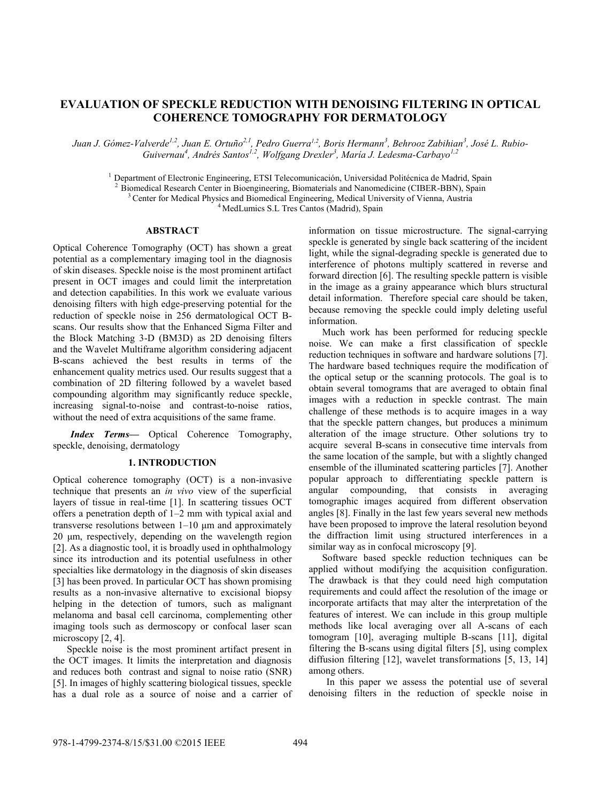# **EVALUATION OF SPECKLE REDUCTION WITH DENOISING FILTERING IN OPTICAL COHERENCE TOMOGRAPHY FOR DERMATOLOGY**

*Juan J. Gómez-Valverde1,2, Juan E. Ortuño2,1 , Pedro Guerra1,2, Boris Hermann<sup>3</sup> , Behrooz Zabihian<sup>3</sup> , José L. Rubio-Guivernau<sup>4</sup> , Andrés Santos1,2 , Wolfgang Drexler<sup>3</sup> , María J. Ledesma-Carbayo1,2*

 $<sup>1</sup>$  Department of Electronic Engineering, ETSI Telecomunicación, Universidad Politécnica de Madrid, Spain</sup>

<sup>2</sup>Biomedical Research Center in Bioengineering, Biomaterials and Nanomedicine (CIBER-BBN), Spain

<sup>3</sup> Center for Medical Physics and Biomedical Engineering, Medical University of Vienna, Austria

<sup>4</sup> MedLumics S.L Tres Cantos (Madrid), Spain

# **ABSTRACT**

Optical Coherence Tomography (OCT) has shown a great potential as a complementary imaging tool in the diagnosis of skin diseases. Speckle noise is the most prominent artifact present in OCT images and could limit the interpretation and detection capabilities. In this work we evaluate various denoising filters with high edge-preserving potential for the reduction of speckle noise in 256 dermatological OCT Bscans. Our results show that the Enhanced Sigma Filter and the Block Matching 3-D (BM3D) as 2D denoising filters and the Wavelet Multiframe algorithm considering adjacent B-scans achieved the best results in terms of the enhancement quality metrics used. Our results suggest that a combination of 2D filtering followed by a wavelet based compounding algorithm may significantly reduce speckle, increasing signal-to-noise and contrast-to-noise ratios, without the need of extra acquisitions of the same frame.

*Index Terms—* Optical Coherence Tomography, speckle, denoising, dermatology

# **1. INTRODUCTION**

Optical coherence tomography (OCT) is a non-invasive technique that presents an *in vivo* view of the superficial layers of tissue in real-time [1]. In scattering tissues OCT offers a penetration depth of 1–2 mm with typical axial and transverse resolutions between 1–10 μm and approximately 20 μm, respectively, depending on the wavelength region [2]. As a diagnostic tool, it is broadly used in ophthalmology since its introduction and its potential usefulness in other specialties like dermatology in the diagnosis of skin diseases [3] has been proved. In particular OCT has shown promising results as a non-invasive alternative to excisional biopsy helping in the detection of tumors, such as malignant melanoma and basal cell carcinoma, complementing other imaging tools such as dermoscopy or confocal laser scan microscopy [2, 4].

Speckle noise is the most prominent artifact present in the OCT images. It limits the interpretation and diagnosis and reduces both contrast and signal to noise ratio (SNR) [5]. In images of highly scattering biological tissues, speckle has a dual role as a source of noise and a carrier of information on tissue microstructure. The signal-carrying speckle is generated by single back scattering of the incident light, while the signal-degrading speckle is generated due to interference of photons multiply scattered in reverse and forward direction [6]. The resulting speckle pattern is visible in the image as a grainy appearance which blurs structural detail information. Therefore special care should be taken, because removing the speckle could imply deleting useful information.

Much work has been performed for reducing speckle noise. We can make a first classification of speckle reduction techniques in software and hardware solutions [7]. The hardware based techniques require the modification of the optical setup or the scanning protocols. The goal is to obtain several tomograms that are averaged to obtain final images with a reduction in speckle contrast. The main challenge of these methods is to acquire images in a way that the speckle pattern changes, but produces a minimum alteration of the image structure. Other solutions try to acquire several B-scans in consecutive time intervals from the same location of the sample, but with a slightly changed ensemble of the illuminated scattering particles [7]. Another popular approach to differentiating speckle pattern is angular compounding, that consists in averaging tomographic images acquired from different observation angles [8]. Finally in the last few years several new methods have been proposed to improve the lateral resolution beyond the diffraction limit using structured interferences in a similar way as in confocal microscopy [9].

Software based speckle reduction techniques can be applied without modifying the acquisition configuration. The drawback is that they could need high computation requirements and could affect the resolution of the image or incorporate artifacts that may alter the interpretation of the features of interest. We can include in this group multiple methods like local averaging over all A-scans of each tomogram [10], averaging multiple B-scans [11], digital filtering the B-scans using digital filters [5], using complex diffusion filtering [12], wavelet transformations [5, 13, 14] among others.

In this paper we assess the potential use of several denoising filters in the reduction of speckle noise in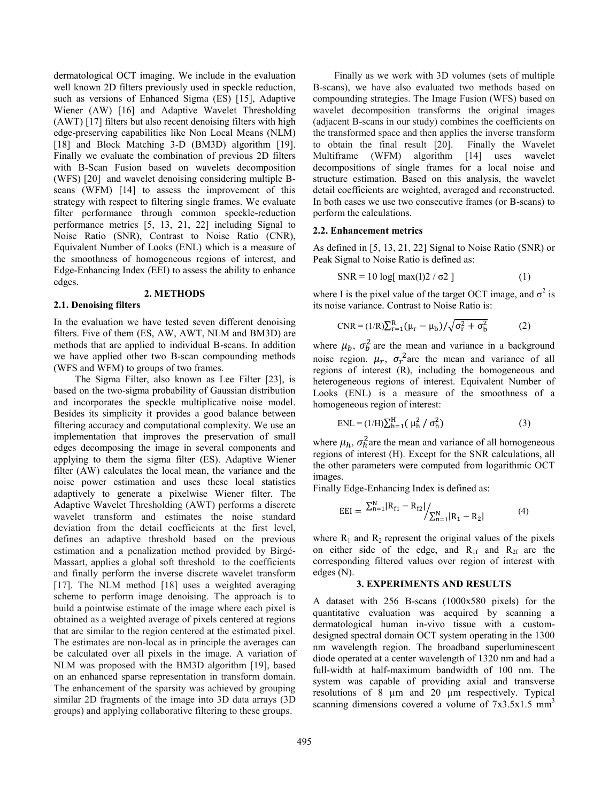dermatological OCT imaging. We include in the evaluation well known 2D filters previously used in speckle reduction, such as versions of Enhanced Sigma (ES) [15], Adaptive Wiener (AW) [16] and Adaptive Wavelet Thresholding (AWT) [17] filters but also recent denoising filters with high edge-preserving capabilities like Non Local Means (NLM) [18] and Block Matching 3-D (BM3D) algorithm [19]. Finally we evaluate the combination of previous 2D filters with B-Scan Fusion based on wavelets decomposition (WFS) [20] and wavelet denoising considering multiple Bscans (WFM) [14] to assess the improvement of this strategy with respect to filtering single frames. We evaluate filter performance through common speckle-reduction performance metrics [5, 13, 21, 22] including Signal to Noise Ratio (SNR), Contrast to Noise Ratio (CNR), Equivalent Number of Looks (ENL) which is a measure of the smoothness of homogeneous regions of interest, and Edge-Enhancing Index (EEI) to assess the ability to enhance edges.

# **2. METHODS**

#### **2.1. Denoising filters**

In the evaluation we have tested seven different denoising filters. Five of them (ES, AW, AWT, NLM and BM3D) are methods that are applied to individual B-scans. In addition we have applied other two B-scan compounding methods (WFS and WFM) to groups of two frames.

The Sigma Filter, also known as Lee Filter [23], is based on the two-sigma probability of Gaussian distribution and incorporates the speckle multiplicative noise model. Besides its simplicity it provides a good balance between filtering accuracy and computational complexity. We use an implementation that improves the preservation of small edges decomposing the image in several components and applying to them the sigma filter (ES). Adaptive Wiener filter (AW) calculates the local mean, the variance and the noise power estimation and uses these local statistics adaptively to generate a pixelwise Wiener filter. The Adaptive Wavelet Thresholding (AWT) performs a discrete wavelet transform and estimates the noise standard deviation from the detail coefficients at the first level, defines an adaptive threshold based on the previous estimation and a penalization method provided by Birgé-Massart, applies a global soft threshold to the coefficients and finally perform the inverse discrete wavelet transform [17]. The NLM method [18] uses a weighted averaging scheme to perform image denoising. The approach is to build a pointwise estimate of the image where each pixel is obtained as a weighted average of pixels centered at regions that are similar to the region centered at the estimated pixel. The estimates are non-local as in principle the averages can be calculated over all pixels in the image. A variation of NLM was proposed with the BM3D algorithm [19], based on an enhanced sparse representation in transform domain. The enhancement of the sparsity was achieved by grouping similar 2D fragments of the image into 3D data arrays (3D groups) and applying collaborative filtering to these groups.

Finally as we work with 3D volumes (sets of multiple B-scans), we have also evaluated two methods based on compounding strategies. The Image Fusion (WFS) based on wavelet decomposition transforms the original images (adjacent B-scans in our study) combines the coefficients on the transformed space and then applies the inverse transform to obtain the final result [20]. Finally the Wavelet Multiframe (WFM) algorithm [14] uses wavelet decompositions of single frames for a local noise and structure estimation. Based on this analysis, the wavelet detail coefficients are weighted, averaged and reconstructed. In both cases we use two consecutive frames (or B-scans) to perform the calculations.

#### **2.2. Enhancement metrics**

As defined in [5, 13, 21, 22] Signal to Noise Ratio (SNR) or Peak Signal to Noise Ratio is defined as:

$$
SNR = 10 \log[\max(I)2 / \sigma 2]
$$
 (1)

where I is the pixel value of the target OCT image, and  $\sigma^2$  is its noise variance. Contrast to Noise Ratio is:

$$
CNR = (1/R)\sum_{r=1}^{R} (\mu_r - \mu_b) / \sqrt{\sigma_r^2 + \sigma_b^2}
$$
 (2)

where  $\mu_b$ ,  $\sigma_b^2$  are the mean and variance in a background noise region.  $\mu_r$ ,  $\sigma_r^2$  are the mean and variance of all regions of interest (R), including the homogeneous and heterogeneous regions of interest. Equivalent Number of Looks (ENL) is a measure of the smoothness of a homogeneous region of interest:

$$
ENL = (1/H)\sum_{h=1}^{H} (\mu_h^2 / \sigma_h^2)
$$
 (3)

where  $\mu_h$ ,  $\sigma_h^2$  are the mean and variance of all homogeneous regions of interest (H). Except for the SNR calculations, all the other parameters were computed from logarithmic OCT images.

Finally Edge-Enhancing Index is defined as:

$$
EEI = \frac{\sum_{n=1}^{N} |R_{f1} - R_{f2}|}{\sum_{n=1}^{N} |R_1 - R_2|}
$$
(4)

where  $R_1$  and  $R_2$  represent the original values of the pixels on either side of the edge, and  $R_{1f}$  and  $R_{2f}$  are the corresponding filtered values over region of interest with edges (N).

## **3. EXPERIMENTS AND RESULTS**

A dataset with 256 B-scans (1000x580 pixels) for the quantitative evaluation was acquired by scanning a dermatological human in-vivo tissue with a customdesigned spectral domain OCT system operating in the 1300 nm wavelength region. The broadband superluminescent diode operated at a center wavelength of 1320 nm and had a full-width at half-maximum bandwidth of 100 nm. The system was capable of providing axial and transverse resolutions of 8 µm and 20 µm respectively. Typical scanning dimensions covered a volume of  $7x3.5x1.5$  mm<sup>3</sup>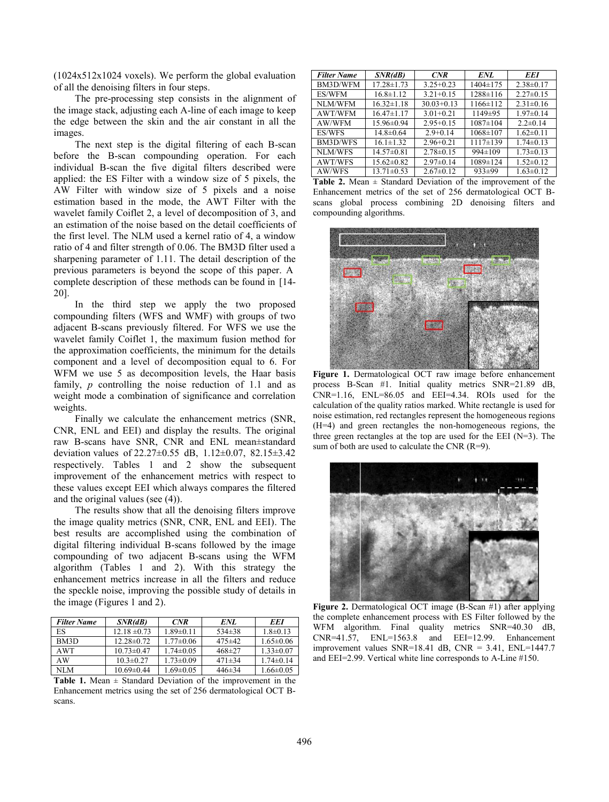(1024x512x1024 voxels). We perform the global evaluation of all the denoising filters in four steps.

The pre-processing step consists in the alignment of the image stack, adjusting each A-line of each image to keep the edge between the skin and the air constant in all the images.

The next step is the digital filtering of each B-scan before the B-scan compounding operation. For each individual B-scan the five digital filters described were applied: the ES Filter with a window size of 5 pixels, the AW Filter with window size of 5 pixels and a noise estimation based in the mode, the AWT Filter with the wavelet family Coiflet 2, a level of decomposition of 3, and an estimation of the noise based on the detail coefficients of the first level. The NLM used a kernel ratio of 4, a window ratio of 4 and filter strength of 0.06. The BM3D filter used a sharpening parameter of 1.11. The detail description of the previous parameters is beyond the scope of this paper. A complete description of these methods can be found in [14- 20].

In the third step we apply the two proposed compounding filters (WFS and WMF) with groups of two adjacent B-scans previously filtered. For WFS we use the wavelet family Coiflet 1, the maximum fusion method for the approximation coefficients, the minimum for the details component and a level of decomposition equal to 6. For WFM we use 5 as decomposition levels, the Haar basis family, *p* controlling the noise reduction of 1.1 and as weight mode a combination of significance and correlation weights.

Finally we calculate the enhancement metrics (SNR, CNR, ENL and EEI) and display the results. The original raw B-scans have SNR, CNR and ENL mean±standard deviation values of 22.27±0.55 dB, 1.12±0.07, 82.15±3.42 respectively. Tables 1 and 2 show the subsequent improvement of the enhancement metrics with respect to these values except EEI which always compares the filtered and the original values (see (4)).

The results show that all the denoising filters improve the image quality metrics (SNR, CNR, ENL and EEI). The best results are accomplished using the combination of digital filtering individual B-scans followed by the image compounding of two adjacent B-scans using the WFM algorithm (Tables 1 and 2). With this strategy the enhancement metrics increase in all the filters and reduce the speckle noise, improving the possible study of details in the image (Figures 1 and 2).

| <b>Filter Name</b> | SNR(dB)          | CNR             | ENI.         | <b>EEI</b>      |
|--------------------|------------------|-----------------|--------------|-----------------|
| ES                 | $12.18 \pm 0.73$ | $1.89 \pm 0.11$ | $534\pm38$   | $1.8 \pm 0.13$  |
| BM3D               | $12.28 \pm 0.72$ | $1.77 \pm 0.06$ | $475 \pm 42$ | $1.65 \pm 0.06$ |
| AWT                | $10.73 \pm 0.47$ | $1.74 \pm 0.05$ | $468 \pm 27$ | $1.33 \pm 0.07$ |
| AW                 | $10.3 \pm 0.27$  | $1.73 \pm 0.09$ | $471\pm34$   | $1.74 \pm 0.14$ |
| NI M               | $10.69 \pm 0.44$ | $1.69 \pm 0.05$ | $446\pm34$   | $1.66 \pm 0.05$ |

**Table 1.** Mean  $\pm$  Standard Deviation of the improvement in the Enhancement metrics using the set of 256 dermatological OCT Bscans.

| <b>Filter Name</b> | SNR(dB)          | <b>CNR</b>      | ENL            | EEI             |
|--------------------|------------------|-----------------|----------------|-----------------|
| BM3D/WFM           | $17.28 \pm 1.73$ | $3.25 + 0.23$   | $1404 \pm 175$ | $2.38 \pm 0.17$ |
| ES/WFM             | $16.8 \pm 1.12$  | $3.21 + 0.15$   | $1288 \pm 116$ | $2.27\pm0.15$   |
| <b>NLM/WFM</b>     | $16.32 \pm 1.18$ | $30.03 + 0.13$  | $1166 \pm 112$ | $2.31 \pm 0.16$ |
| <b>AWT/WFM</b>     | $16.47 \pm 1.17$ | $3.01 + 0.21$   | $1149 \pm 95$  | $1.97\pm0.14$   |
| AW/WFM             | $15.96 \pm 0.94$ | $2.95+0.15$     | $1087 \pm 104$ | $2.2 \pm 0.14$  |
| ES/WFS             | $14.8 \pm 0.64$  | $2.9+0.14$      | $1068 \pm 107$ | $1.62 \pm 0.11$ |
| <b>BM3D/WFS</b>    | $16.1 \pm 1.32$  | $2.96 + 0.21$   | $1117\pm139$   | $1.74 \pm 0.13$ |
| <b>NLM/WFS</b>     | $14.57 \pm 0.81$ | $2.78 \pm 0.15$ | $994 \pm 109$  | $1.73 \pm 0.13$ |
| <b>AWT/WFS</b>     | $15.62 \pm 0.82$ | $2.97\pm0.14$   | $1089 \pm 124$ | $1.52 \pm 0.12$ |
| AW/WFS             | $13.71 \pm 0.53$ | $2.67 \pm 0.12$ | 933±99         | $1.63 \pm 0.12$ |

**Table 2.** Mean  $\pm$  Standard Deviation of the improvement of the Enhancement metrics of the set of 256 dermatological OCT Bscans global process combining 2D denoising filters and compounding algorithms.



**Figure 1.** Dermatological OCT raw image before enhancement process B-Scan #1. Initial quality metrics SNR=21.89 dB, CNR=1.16, ENL=86.05 and EEI=4.34. ROIs used for the calculation of the quality ratios marked. White rectangle is used for noise estimation, red rectangles represent the homogeneous regions (H=4) and green rectangles the non-homogeneous regions, the three green rectangles at the top are used for the EEI  $(N=3)$ . The sum of both are used to calculate the CNR (R=9).



**Figure 2.** Dermatological OCT image (B-Scan #1) after applying the complete enhancement process with ES Filter followed by the WFM algorithm. Final quality metrics SNR=40.30 dB, CNR=41.57, ENL=1563.8 and EEI=12.99. Enhancement improvement values SNR=18.41 dB, CNR =  $3.41$ , ENL=1447.7 and EEI=2.99. Vertical white line corresponds to A-Line #150.